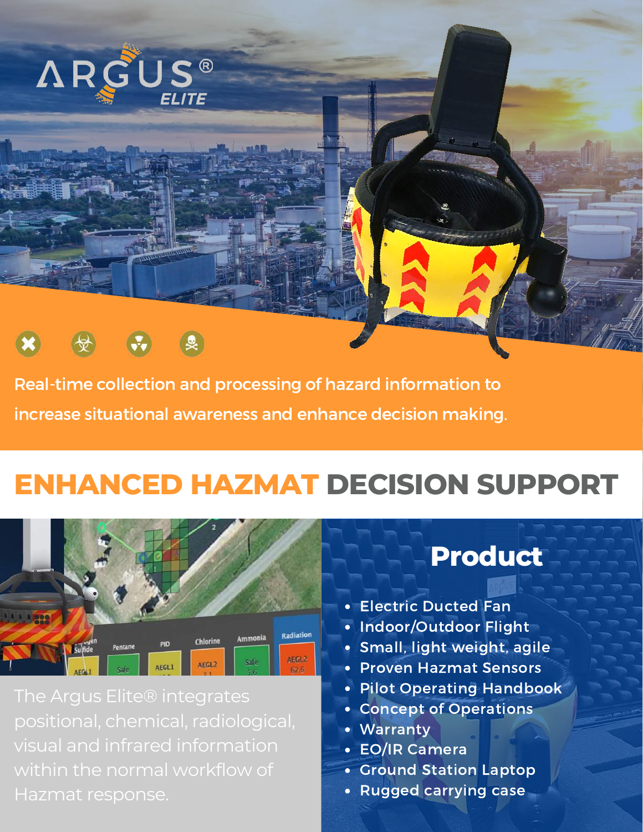



Real-time collection and processing of hazard information to increase situational awareness and enhance decision making.

## **ENHANCED HAZMAT DECISION SUPPORT**



positional, chemical, radiological, within the normal workflow of

### **Product**

- Electric Ducted Fan
- Indoor/Outdoor Flight
- Small, light weight, agile
- Proven Hazmat Sensors
- Pilot Operating Handbook
- Concept of Operations
- Warranty
- EO/IR Camera
- Ground Station Laptop
- Rugged carrying case